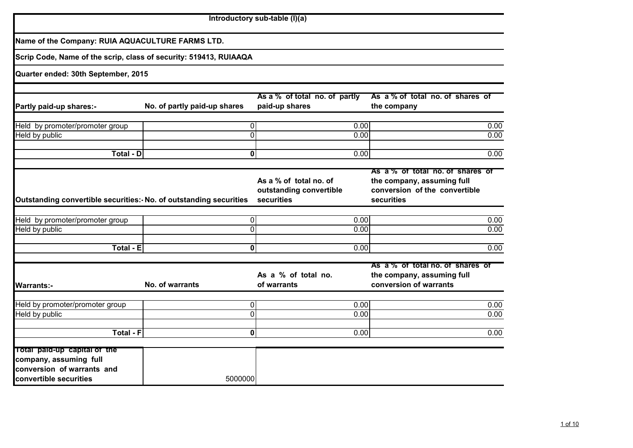|                                                                                                                |                              | Introductory sub-table (I)(a)                                   |                                                                                                               |              |
|----------------------------------------------------------------------------------------------------------------|------------------------------|-----------------------------------------------------------------|---------------------------------------------------------------------------------------------------------------|--------------|
| Name of the Company: RUIA AQUACULTURE FARMS LTD.                                                               |                              |                                                                 |                                                                                                               |              |
| Scrip Code, Name of the scrip, class of security: 519413, RUIAAQA                                              |                              |                                                                 |                                                                                                               |              |
| Quarter ended: 30th September, 2015                                                                            |                              |                                                                 |                                                                                                               |              |
| Partly paid-up shares:-                                                                                        | No. of partly paid-up shares | As a % of total no. of partly<br>paid-up shares                 | As a % of total no. of shares of<br>the company                                                               |              |
| Held by promoter/promoter group<br>Held by public                                                              |                              | $\Omega$<br>0.00<br>$\mathbf 0$<br>0.00                         |                                                                                                               | 0.00<br>0.00 |
| <b>Total - D</b>                                                                                               |                              | 0.00<br>$\bf{0}$                                                |                                                                                                               | 0.00         |
| Outstanding convertible securities: No. of outstanding securities                                              |                              | As a % of total no. of<br>outstanding convertible<br>securities | As a % of total no. of shares of<br>the company, assuming full<br>conversion of the convertible<br>securities |              |
| Held by promoter/promoter group<br>Held by public                                                              |                              | $\overline{0}$<br>0.00<br>0<br>0.00                             |                                                                                                               | 0.00<br>0.00 |
| <b>Total - E</b>                                                                                               |                              | 0<br>0.00                                                       |                                                                                                               | 0.00         |
| <b>Warrants:-</b>                                                                                              | No. of warrants              | As a % of total no.<br>of warrants                              | As a % of total no. of shares of<br>the company, assuming full<br>conversion of warrants                      |              |
| Held by promoter/promoter group<br><b>Held by public</b>                                                       |                              | 0 <br>0.00<br>$\overline{0}$<br>0.00                            |                                                                                                               | 0.00<br>0.00 |
| <b>Total - F</b>                                                                                               |                              | 0<br>0.00                                                       |                                                                                                               | 0.00         |
| Total paid-up capital of the<br>company, assuming full<br>conversion of warrants and<br>convertible securities | 5000000                      |                                                                 |                                                                                                               |              |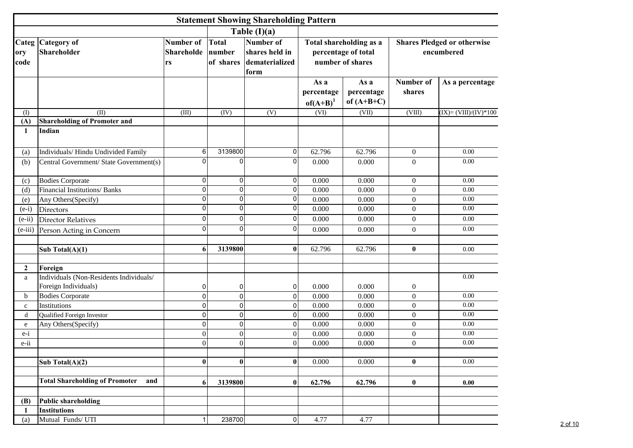|                      |                                              |                                      |                              | <b>Statement Showing Shareholding Pattern</b>                |                                                                    |                                    |                                                  |                        |  |
|----------------------|----------------------------------------------|--------------------------------------|------------------------------|--------------------------------------------------------------|--------------------------------------------------------------------|------------------------------------|--------------------------------------------------|------------------------|--|
|                      |                                              |                                      |                              | Table $(I)(a)$                                               |                                                                    |                                    |                                                  |                        |  |
| Categ<br>ory<br>code | Category of<br>Shareholder                   | Number of<br><b>Shareholde</b><br>rs | Total<br>number<br>of shares | <b>Number of</b><br>shares held in<br>dematerialized<br>form | Total shareholding as a<br>percentage of total<br>number of shares |                                    | <b>Shares Pledged or otherwise</b><br>encumbered |                        |  |
|                      |                                              |                                      |                              |                                                              | As a<br>percentage<br>$of(A+B)^{1}$                                | As a<br>percentage<br>of $(A+B+C)$ | Number of<br>shares                              | As a percentage        |  |
| (I)                  | (II)                                         | (III)                                | (IV)                         | (V)                                                          | (VI)                                                               | (VII)                              | (VIII)                                           | $(IX)=(VIII)/(IV)*100$ |  |
| (A)                  | <b>Shareholding of Promoter and</b>          |                                      |                              |                                                              |                                                                    |                                    |                                                  |                        |  |
| 1                    | Indian                                       |                                      |                              |                                                              |                                                                    |                                    |                                                  |                        |  |
| (a)                  | Individuals/Hindu Undivided Family           | $6 \mid$                             | 3139800                      | 0                                                            | 62.796                                                             | 62.796                             | $\mathbf{0}$                                     | 0.00                   |  |
| (b)                  | Central Government/ State Government(s)      | $\Omega$                             | 0                            | O                                                            | 0.000                                                              | 0.000                              | $\mathbf{0}$                                     | 0.00                   |  |
| (c)                  | <b>Bodies Corporate</b>                      | $\overline{0}$                       | 0                            | 0                                                            | 0.000                                                              | 0.000                              | $\mathbf{0}$                                     | 0.00                   |  |
| (d)                  | <b>Financial Institutions/ Banks</b>         | $\overline{0}$                       | 0                            | $\overline{0}$                                               | 0.000                                                              | 0.000                              | $\boldsymbol{0}$                                 | 0.00                   |  |
| (e)                  | Any Others(Specify)                          | $\overline{0}$                       | 0                            | 0                                                            | 0.000                                                              | 0.000                              | $\mathbf{0}$                                     | 0.00                   |  |
| $(e-i)$              | Directors                                    | 0                                    | 0                            | 0                                                            | 0.000                                                              | 0.000                              | $\mathbf{0}$                                     | 0.00                   |  |
| $(e-ii)$             | <b>Director Relatives</b>                    | 0                                    | 0                            | 0                                                            | 0.000                                                              | 0.000                              | $\boldsymbol{0}$                                 | 0.00                   |  |
| $(e-iii)$            | Person Acting in Concern                     | $\Omega$                             | 0                            | 0                                                            | 0.000                                                              | 0.000                              | $\mathbf{0}$                                     | 0.00                   |  |
|                      | Sub Total(A)(1)                              | 6                                    | 3139800                      | $\mathbf{0}$                                                 | 62.796                                                             | 62.796                             | $\bf{0}$                                         | 0.00                   |  |
| $\mathbf{2}$         | Foreign                                      |                                      |                              |                                                              |                                                                    |                                    |                                                  |                        |  |
| a                    | Individuals (Non-Residents Individuals/      |                                      |                              |                                                              |                                                                    |                                    |                                                  | 0.00                   |  |
|                      | Foreign Individuals)                         | 0                                    | 0                            | 0                                                            | 0.000                                                              | 0.000                              | $\boldsymbol{0}$                                 |                        |  |
| b                    | <b>Bodies Corporate</b>                      | $\overline{0}$                       | $\overline{0}$               | $\mathbf{0}$                                                 | 0.000                                                              | 0.000                              | $\boldsymbol{0}$                                 | 0.00                   |  |
| $\mathbf c$          | Institutions                                 | $\overline{0}$                       | 0                            | 0                                                            | 0.000                                                              | 0.000                              | $\mathbf{0}$                                     | 0.00                   |  |
| d                    | Qualified Foreign Investor                   | $\overline{0}$                       | 0                            | 0                                                            | 0.000                                                              | 0.000                              | $\mathbf{0}$                                     | 0.00                   |  |
| e                    | Any Others(Specify)                          | $\Omega$                             | 0                            | 0                                                            | 0.000                                                              | 0.000                              | $\boldsymbol{0}$                                 | 0.00                   |  |
| $e-i$                |                                              | $\overline{0}$                       | $\overline{0}$               | $\Omega$                                                     | 0.000                                                              | 0.000                              | $\boldsymbol{0}$                                 | 0.00                   |  |
| e-ii                 |                                              | $\theta$                             | $\overline{0}$               | 0                                                            | 0.000                                                              | 0.000                              | $\mathbf{0}$                                     | 0.00                   |  |
|                      | Sub Total(A)(2)                              | $\bf{0}$                             | $\bf{0}$                     | $\mathbf{0}$                                                 | 0.000                                                              | 0.000                              | $\bf{0}$                                         | 0.00                   |  |
|                      | <b>Total Shareholding of Promoter</b><br>and | 6                                    | 3139800                      | $\bf{0}$                                                     | 62.796                                                             | 62.796                             | $\bf{0}$                                         | 0.00                   |  |
|                      |                                              |                                      |                              |                                                              |                                                                    |                                    |                                                  |                        |  |
| (B)                  | <b>Public shareholding</b>                   |                                      |                              |                                                              |                                                                    |                                    |                                                  |                        |  |
| 1                    | <b>Institutions</b><br>Mutual Funds/ UTI     |                                      | 238700                       | $\mathbf 0$                                                  |                                                                    | 4.77                               |                                                  |                        |  |
| (a)                  |                                              |                                      |                              |                                                              | 4.77                                                               |                                    |                                                  |                        |  |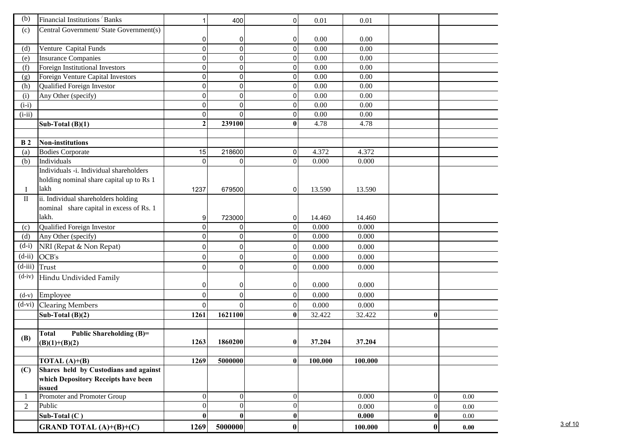| (b)            | Financial Institutions Banks             |              | 400            | $\Omega$         | 0.01    | 0.01    |          |      |
|----------------|------------------------------------------|--------------|----------------|------------------|---------|---------|----------|------|
| (c)            | Central Government/ State Government(s)  |              |                |                  |         |         |          |      |
|                |                                          | 0            | 0              | 0                | 0.00    | 0.00    |          |      |
| (d)            | Venture Capital Funds                    | $\mathbf 0$  | 0              | $\Omega$         | 0.00    | 0.00    |          |      |
| (e)            | <b>Insurance Companies</b>               | $\Omega$     | 0              | οI               | 0.00    | 0.00    |          |      |
| (f)            | Foreign Institutional Investors          | $\Omega$     | 0              | $\overline{0}$   | 0.00    | 0.00    |          |      |
| (g)            | Foreign Venture Capital Investors        | $\Omega$     | 0              | $\overline{0}$   | 0.00    | 0.00    |          |      |
| (h)            | Qualified Foreign Investor               | 0            | 0              | $\overline{0}$   | 0.00    | 0.00    |          |      |
| (i)            | Any Other (specify)                      | 0            | 0              | $\overline{0}$   | 0.00    | 0.00    |          |      |
| $(i-i)$        |                                          | $\Omega$     | 0              | $\Omega$         | 0.00    | 0.00    |          |      |
| $(i-ii)$       |                                          | $\Omega$     | 0              | $\Omega$         | 0.00    | 0.00    |          |      |
|                | Sub-Total $(B)(1)$                       | $\mathbf{2}$ | 239100         | $\bf{0}$         | 4.78    | 4.78    |          |      |
|                |                                          |              |                |                  |         |         |          |      |
| B <sub>2</sub> | <b>Non-institutions</b>                  |              |                |                  |         |         |          |      |
| (a)            | <b>Bodies Corporate</b>                  | 15           | 218600         | $\overline{0}$   | 4.372   | 4.372   |          |      |
| (b)            | Individuals                              | $\Omega$     | $\Omega$       | $\Omega$         | 0.000   | 0.000   |          |      |
|                | Individuals -i. Individual shareholders  |              |                |                  |         |         |          |      |
|                | holding nominal share capital up to Rs 1 |              |                |                  |         |         |          |      |
| Ι              | lakh                                     | 1237         | 679500         | 0                | 13.590  | 13.590  |          |      |
| $\rm II$       | ii. Individual shareholders holding      |              |                |                  |         |         |          |      |
|                | nominal share capital in excess of Rs. 1 |              |                |                  |         |         |          |      |
|                | lakh.                                    | 9            | 723000         | 01               | 14.460  | 14.460  |          |      |
| (c)            | <b>Qualified Foreign Investor</b>        | $\Omega$     | 0              | $\Omega$         | 0.000   | 0.000   |          |      |
| (d)            | Any Other (specify)                      | $\Omega$     | 0              | $\overline{0}$   | 0.000   | 0.000   |          |      |
| $(d-i)$        | NRI (Repat & Non Repat)                  | $\mathbf 0$  | 0              | $\overline{0}$   | 0.000   | 0.000   |          |      |
| $(d-ii)$       | OCB's                                    | $\Omega$     | 0              | $\overline{0}$   | 0.000   | 0.000   |          |      |
| $(d-iii)$      | Trust                                    | $\Omega$     | 0              | $\Omega$         | 0.000   | 0.000   |          |      |
| $(d-iv)$       | Hindu Undivided Family                   |              |                |                  |         |         |          |      |
|                |                                          | 0            | 0              | 0                | 0.000   | 0.000   |          |      |
| $(d-v)$        | Employee                                 | $\Omega$     | 0              | $\overline{0}$   | 0.000   | 0.000   |          |      |
| $(d-vi)$       | <b>Clearing Members</b>                  | $\Omega$     | $\Omega$       | $\overline{0}$   | 0.000   | 0.000   |          |      |
|                | Sub-Total $(B)(2)$                       | 1261         | 1621100        | $\bf{0}$         | 32.422  | 32.422  | $\bf{0}$ |      |
|                |                                          |              |                |                  |         |         |          |      |
| (B)            | Public Shareholding (B)=<br>Total        | 1263         | 1860200        | $\bf{0}$         | 37.204  | 37.204  |          |      |
|                | $(B)(1)+(B)(2)$                          |              |                |                  |         |         |          |      |
|                | TOTAL $(A)+(B)$                          | 1269         | 5000000        | $\bf{0}$         | 100.000 | 100.000 |          |      |
| (C)            | Shares held by Custodians and against    |              |                |                  |         |         |          |      |
|                | which Depository Receipts have been      |              |                |                  |         |         |          |      |
|                | issued                                   |              |                |                  |         |         |          |      |
|                | Promoter and Promoter Group              | $\mathbf{0}$ | $\mathbf{0}$   | $\overline{0}$   |         | 0.000   | $\Omega$ | 0.00 |
| $\overline{2}$ | Public                                   | $\theta$     | $\overline{0}$ | $\overline{0}$   |         | 0.000   | 0        | 0.00 |
|                | Sub-Total $(C)$                          | $\bf{0}$     | $\bf{0}$       | $\boldsymbol{0}$ |         | 0.000   | 0        | 0.00 |
|                | <b>GRAND TOTAL</b> $(A)+(B)+(C)$         | 1269         | 5000000        | $\bf{0}$         |         | 100.000 | $\bf{0}$ | 0.00 |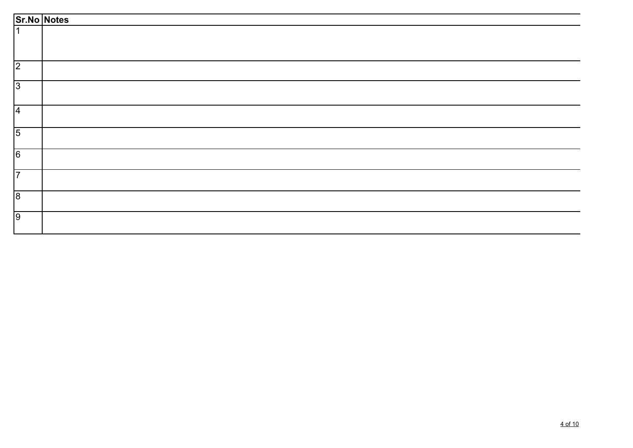|                | Sr.No Notes |
|----------------|-------------|
|                |             |
|                |             |
| $\overline{2}$ |             |
| $\overline{3}$ |             |
| $\overline{4}$ |             |
| $\overline{5}$ |             |
| $\overline{6}$ |             |
| 7              |             |
| $\overline{8}$ |             |
| 9              |             |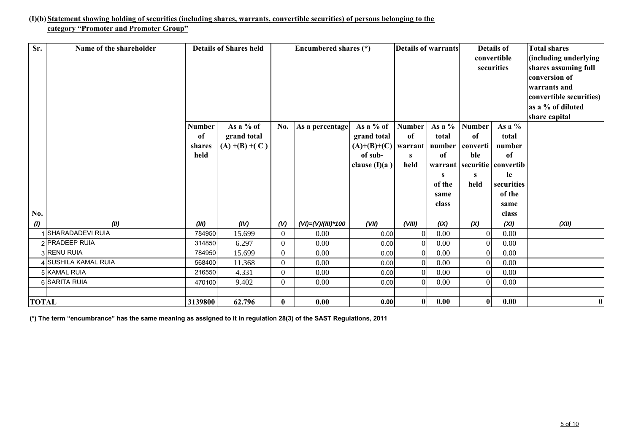#### **(I)(b) Statement showing holding of securities (including shares, warrants, convertible securities) of persons belonging to the category "Promoter and Promoter Group"**

| Sr.          | Name of the shareholder |                                       | <b>Details of Shares held</b>               |                | Encumbered shares $(*)$ |                                                                         |                                  | <b>Details of warrants</b>                                                  |                                                      | <b>Details of</b><br>convertible<br>securities                                                                  | <b>Total shares</b><br>(including underlying<br>shares assuming full<br>conversion of<br>warrants and<br>convertible securities)<br>as a % of diluted<br>share capital |
|--------------|-------------------------|---------------------------------------|---------------------------------------------|----------------|-------------------------|-------------------------------------------------------------------------|----------------------------------|-----------------------------------------------------------------------------|------------------------------------------------------|-----------------------------------------------------------------------------------------------------------------|------------------------------------------------------------------------------------------------------------------------------------------------------------------------|
| No.          |                         | <b>Number</b><br>of<br>shares<br>held | As a % of<br>grand total<br>$(A)$ +(B) +(C) | No.            | As a percentage         | As a % of<br>grand total<br>$(A)+(B)+(C)$<br>of sub-<br>clause $(I)(a)$ | <b>Number</b><br>of<br>S<br>held | As a $%$<br>total<br>warrant   number<br>of<br>s<br>of the<br>same<br>class | <b>Number</b><br>of<br>converti<br>ble<br>S.<br>held | As a $%$<br>total<br>number<br>of<br>warrant securitie convertib<br>le<br>securities<br>of the<br>same<br>class |                                                                                                                                                                        |
| (1)          | (II)                    | (III)                                 | (IV)                                        | (V)            | (VI)=(V)/(III)*100      | (VII)                                                                   | (VIII)                           | (IX)                                                                        | (X)                                                  | (XI)                                                                                                            | (XII)                                                                                                                                                                  |
|              | SHARADADEVI RUIA        | 784950                                | 15.699                                      | $\overline{0}$ | 0.00                    | 0.00                                                                    | $\overline{0}$                   | 0.00                                                                        | $\overline{0}$                                       | 0.00                                                                                                            |                                                                                                                                                                        |
|              | 2 PRADEEP RUIA          | 314850                                | 6.297                                       | $\overline{0}$ | 0.00                    | 0.00                                                                    | $\overline{0}$                   | 0.00                                                                        | $\Omega$                                             | 0.00                                                                                                            |                                                                                                                                                                        |
|              | 3RENU RUIA              | 784950                                | 15.699                                      | $\theta$       | 0.00                    | 0.00                                                                    | $\Omega$                         | 0.00                                                                        | $\Omega$                                             | 0.00                                                                                                            |                                                                                                                                                                        |
|              | 4 SUSHILA KAMAL RUIA    | 568400                                | 11.368                                      | $\overline{0}$ | 0.00                    | 0.00                                                                    | $\Omega$                         | 0.00                                                                        | $\Omega$                                             | 0.00                                                                                                            |                                                                                                                                                                        |
|              | 5 KAMAL RUIA            | 216550                                | 4.331                                       | $\Omega$       | 0.00                    | 0.00                                                                    | $\Omega$                         | 0.00                                                                        | $\Omega$                                             | 0.00                                                                                                            |                                                                                                                                                                        |
|              | 6 SARITA RUIA           | 470100                                | 9.402                                       | $\theta$       | 0.00                    | 0.00                                                                    | $\Omega$                         | 0.00                                                                        | $\Omega$                                             | 0.00                                                                                                            |                                                                                                                                                                        |
| <b>TOTAL</b> |                         | 3139800                               | 62.796                                      | $\bf{0}$       | 0.00                    | 0.00                                                                    | 0                                | 0.00                                                                        | 0                                                    | 0.00                                                                                                            | $\bf{0}$                                                                                                                                                               |

**(\*) The term "encumbrance" has the same meaning as assigned to it in regulation 28(3) of the SAST Regulations, 2011**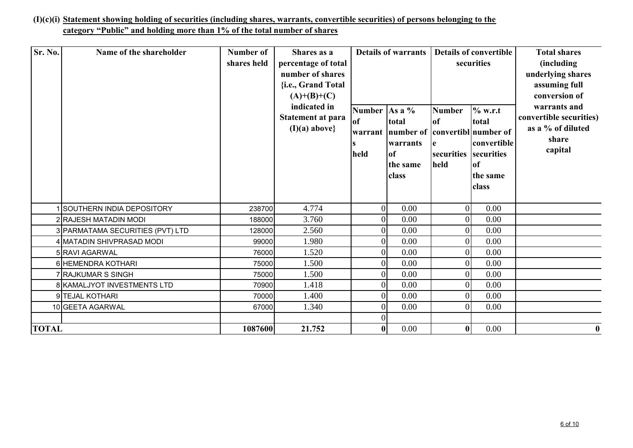# **(I)(c)(i) Statement showing holding of securities (including shares, warrants, convertible securities) of persons belonging to the category "Public" and holding more than 1% of the total number of shares**

| Sr. No.      | Name of the shareholder          | Number of<br>shares held | Shares as a<br>percentage of total<br>number of shares<br>{i.e., Grand Total<br>$(A)+(B)+(C)$<br>indicated in<br><b>Statement at para</b><br>$(I)(a)$ above} | Number $\vert$ As a %<br>of<br>warrant<br>held | <b>Details of warrants</b><br>total<br>number of convertibl number of<br>warrants<br><b>of</b><br>the same<br>class | <b>Number</b><br>of<br>l e<br>securities<br>held | <b>Details of convertible</b><br>securities<br>% w.r.t<br>total<br>convertible<br>securities<br><b>of</b><br>the same<br>class | <b>Total shares</b><br>(including<br>underlying shares<br>assuming full<br>conversion of<br>warrants and<br>convertible securities)<br>as a % of diluted<br>share<br>capital |
|--------------|----------------------------------|--------------------------|--------------------------------------------------------------------------------------------------------------------------------------------------------------|------------------------------------------------|---------------------------------------------------------------------------------------------------------------------|--------------------------------------------------|--------------------------------------------------------------------------------------------------------------------------------|------------------------------------------------------------------------------------------------------------------------------------------------------------------------------|
|              | SOUTHERN INDIA DEPOSITORY        | 238700                   | 4.774                                                                                                                                                        | $\overline{0}$                                 | 0.00                                                                                                                | $\overline{0}$                                   | 0.00                                                                                                                           |                                                                                                                                                                              |
|              | 2 RAJESH MATADIN MODI            | 188000                   | 3.760                                                                                                                                                        | $\overline{0}$                                 | 0.00                                                                                                                | 0                                                | 0.00                                                                                                                           |                                                                                                                                                                              |
|              | 3 PARMATAMA SECURITIES (PVT) LTD | 128000                   | 2.560                                                                                                                                                        | $\overline{0}$                                 | 0.00                                                                                                                | $\overline{0}$                                   | 0.00                                                                                                                           |                                                                                                                                                                              |
|              | 4 MATADIN SHIVPRASAD MODI        | 99000                    | 1.980                                                                                                                                                        | $\overline{0}$                                 | 0.00                                                                                                                | $\overline{0}$                                   | 0.00                                                                                                                           |                                                                                                                                                                              |
|              | 5 RAVI AGARWAL                   | 76000                    | 1.520                                                                                                                                                        | $\overline{0}$                                 | 0.00                                                                                                                | 0                                                | 0.00                                                                                                                           |                                                                                                                                                                              |
|              | 6 HEMENDRA KOTHARI               | 75000                    | 1.500                                                                                                                                                        | $\overline{0}$                                 | 0.00                                                                                                                | 0                                                | 0.00                                                                                                                           |                                                                                                                                                                              |
|              | 7 RAJKUMAR S SINGH               | 75000                    | 1.500                                                                                                                                                        | $\overline{0}$                                 | 0.00                                                                                                                | 0                                                | 0.00                                                                                                                           |                                                                                                                                                                              |
|              | 8 KAMALJYOT INVESTMENTS LTD      | 70900                    | 1.418                                                                                                                                                        | $\vert 0 \vert$                                | 0.00                                                                                                                | $\overline{0}$                                   | 0.00                                                                                                                           |                                                                                                                                                                              |
|              | 9TEJAL KOTHARI                   | 70000                    | 1.400                                                                                                                                                        | $\overline{0}$                                 | 0.00                                                                                                                | $\overline{0}$                                   | 0.00                                                                                                                           |                                                                                                                                                                              |
|              | 10 GEETA AGARWAL                 | 67000                    | 1.340                                                                                                                                                        | $\overline{0}$                                 | 0.00                                                                                                                | $\theta$                                         | 0.00                                                                                                                           |                                                                                                                                                                              |
|              |                                  |                          |                                                                                                                                                              | $\boldsymbol{0}$                               |                                                                                                                     |                                                  |                                                                                                                                |                                                                                                                                                                              |
| <b>TOTAL</b> |                                  | 1087600                  | 21.752                                                                                                                                                       | $\boldsymbol{0}$                               | 0.00                                                                                                                | $\bf{0}$                                         | 0.00                                                                                                                           | $\bf{0}$                                                                                                                                                                     |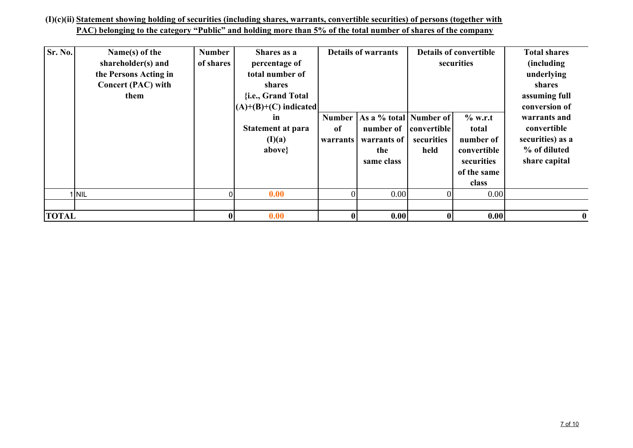### **(I)(c)(ii) Statement showing holding of securities (including shares, warrants, convertible securities) of persons (together with PAC) belonging to the category "Public" and holding more than 5% of the total number of shares of the company**

| Sr. No.      | Name(s) of the<br>shareholder(s) and<br>the Persons Acting in<br><b>Concert (PAC) with</b><br>them | <b>Number</b><br>of shares | Shares as a<br>percentage of<br>total number of<br><b>shares</b><br>{i.e., Grand Total<br>$(A)+(B)+(C)$ indicated |                            | <b>Details of warrants</b>                                              |                                   | <b>Details of convertible</b><br>securities                                          | <b>Total shares</b><br>(including)<br>underlying<br>shares<br>assuming full<br>conversion of |
|--------------|----------------------------------------------------------------------------------------------------|----------------------------|-------------------------------------------------------------------------------------------------------------------|----------------------------|-------------------------------------------------------------------------|-----------------------------------|--------------------------------------------------------------------------------------|----------------------------------------------------------------------------------------------|
|              |                                                                                                    |                            | <i>in</i><br><b>Statement at para</b><br>(I)(a)<br>above}                                                         | Number  <br>of<br>warrants | As a % total Number of<br>number of<br>warrants of<br>the<br>same class | convertible<br>securities<br>held | $%$ w.r.t<br>total<br>number of<br>convertible<br>securities<br>of the same<br>class | warrants and<br>convertible<br>securities) as a<br>% of diluted<br>share capital             |
|              | I NIL                                                                                              |                            | 0.00                                                                                                              | $\theta$                   | 0.00                                                                    | $\Omega$                          | 0.00                                                                                 |                                                                                              |
| <b>TOTAL</b> |                                                                                                    | $\mathbf{0}$               | 0.00                                                                                                              | $\bf{0}$                   | 0.00                                                                    | $\bf{0}$                          | 0.00                                                                                 | $\mathbf{0}$                                                                                 |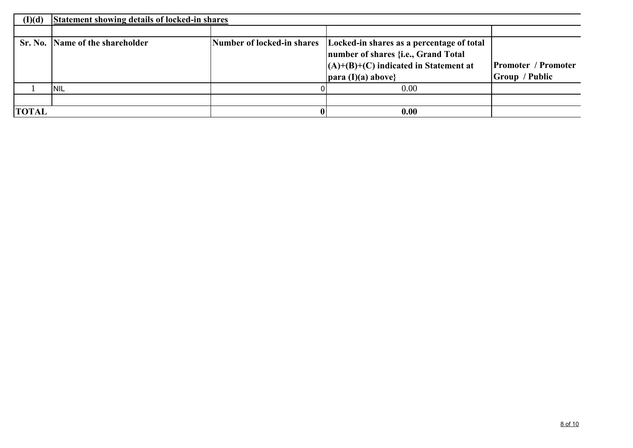| (I)(d)       | Statement showing details of locked-in shares |  |                                                                                                                                                                                        |                                                     |  |  |  |  |  |
|--------------|-----------------------------------------------|--|----------------------------------------------------------------------------------------------------------------------------------------------------------------------------------------|-----------------------------------------------------|--|--|--|--|--|
|              |                                               |  |                                                                                                                                                                                        |                                                     |  |  |  |  |  |
|              | Sr. No. Name of the shareholder               |  | Number of locked-in shares   Locked-in shares as a percentage of total<br>number of shares {i.e., Grand Total<br>$(A)+(B)+(C)$ indicated in Statement at<br>$\vert$ para (I)(a) above} | <b>Promoter / Promoter</b><br><b>Group</b> / Public |  |  |  |  |  |
|              | INIL                                          |  | 0.00                                                                                                                                                                                   |                                                     |  |  |  |  |  |
|              |                                               |  |                                                                                                                                                                                        |                                                     |  |  |  |  |  |
| <b>TOTAL</b> |                                               |  | 0.00                                                                                                                                                                                   |                                                     |  |  |  |  |  |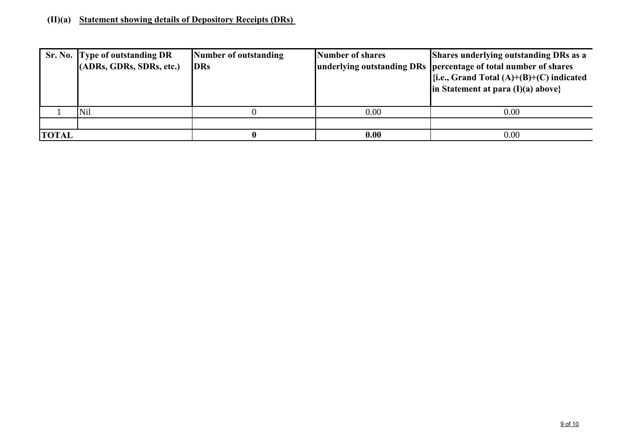## **(II)(a) Statement showing details of Depository Receipts (DRs)**

|              | Sr. No. Type of outstanding DR<br>(ADRs, GDRs, SDRs, etc.) | Number of outstanding<br><b>DRs</b> | Number of shares | <b>Shares underlying outstanding DRs as a</b><br>underlying outstanding DRs percentage of total number of shares<br>$\{i.e., Grand Total (A)+(B)+(C) indicated\}$<br>in Statement at para $(I)(a)$ above} |
|--------------|------------------------------------------------------------|-------------------------------------|------------------|-----------------------------------------------------------------------------------------------------------------------------------------------------------------------------------------------------------|
|              | Nil                                                        |                                     | 0.00             | 0.00                                                                                                                                                                                                      |
|              |                                                            |                                     |                  |                                                                                                                                                                                                           |
| <b>TOTAL</b> |                                                            |                                     | 0.00             | 0.00                                                                                                                                                                                                      |